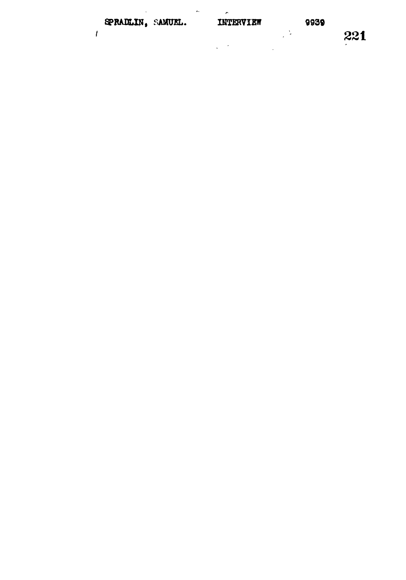$\overline{1}$ 

 $\sim$   $\sim$ 

 $\sqrt{2}$ 

 $\sim 200$ 

 $\frac{1}{2} \sum_{i=1}^{n} \frac{1}{i} \sum_{j=1}^{n} \frac{1}{j} \sum_{j=1}^{n} \frac{1}{j} \sum_{j=1}^{n} \frac{1}{j} \sum_{j=1}^{n} \frac{1}{j} \sum_{j=1}^{n} \frac{1}{j} \sum_{j=1}^{n} \frac{1}{j} \sum_{j=1}^{n} \frac{1}{j} \sum_{j=1}^{n} \frac{1}{j} \sum_{j=1}^{n} \frac{1}{j} \sum_{j=1}^{n} \frac{1}{j} \sum_{j=1}^{n} \frac{1}{j} \sum_{j=1}^{n$ 

221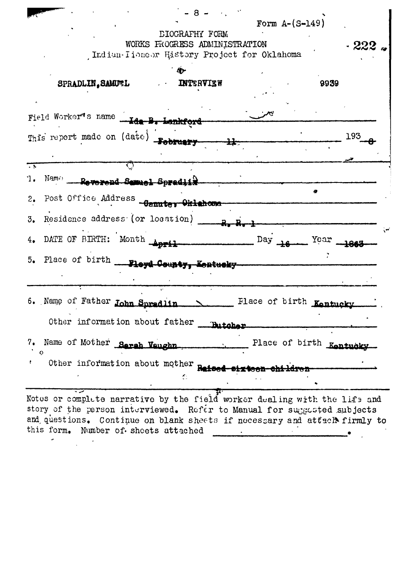|                                                                                                                                                                                                                                                                           | $-8 - 4$                                                                                                     |                         |     |
|---------------------------------------------------------------------------------------------------------------------------------------------------------------------------------------------------------------------------------------------------------------------------|--------------------------------------------------------------------------------------------------------------|-------------------------|-----|
|                                                                                                                                                                                                                                                                           | <b><i>DIOGRAFHY FORM</i></b><br>WORKS FROGRESS ADMINISTRATION<br>Indian-Iioneer History Project for Oklahoma | Form $A - (S - 149)$    | 222 |
| SPRADLIN. SAMUTL                                                                                                                                                                                                                                                          | <b>INTERVIEW</b>                                                                                             | 9939                    |     |
| Field Worker <sup>4</sup> s name - Ida B. Lankford                                                                                                                                                                                                                        |                                                                                                              |                         |     |
| This report made on (date)                                                                                                                                                                                                                                                |                                                                                                              |                         | 193 |
| $\overline{\phantom{a}}$                                                                                                                                                                                                                                                  |                                                                                                              |                         |     |
| $N$ am $\odot$<br>י.<br>verend Samuel Spradlik                                                                                                                                                                                                                            |                                                                                                              | ø                       |     |
| Post Office Address - Canuter Oklahoma<br>$2\bullet$                                                                                                                                                                                                                      |                                                                                                              |                         |     |
| Residence address (or location)<br>3.                                                                                                                                                                                                                                     |                                                                                                              |                         |     |
| DATE OF BIRTH: Month                                                                                                                                                                                                                                                      |                                                                                                              | Day<br>Year             |     |
| Place of birth __Floyd County, Kentucky<br>5.                                                                                                                                                                                                                             |                                                                                                              |                         |     |
| 6. Name of Father John Spradlin                                                                                                                                                                                                                                           |                                                                                                              | Flace of birth Kantucky |     |
| Other information about father Butcher                                                                                                                                                                                                                                    |                                                                                                              |                         |     |
| 7. Name of Mother Serah Vaughn                                                                                                                                                                                                                                            |                                                                                                              | Place of birth Reptuble |     |
| Other information about mother <sub>Rad</sub>                                                                                                                                                                                                                             |                                                                                                              |                         |     |
|                                                                                                                                                                                                                                                                           |                                                                                                              |                         |     |
| Notes or complete narrative by the field worker dealing with the life and<br>story of the person interviewed. Refer to Manual for surgested subjects<br>and questions. Continue on blank sheets if necessary and attack firmly to<br>this form. Number of sheets attached |                                                                                                              |                         |     |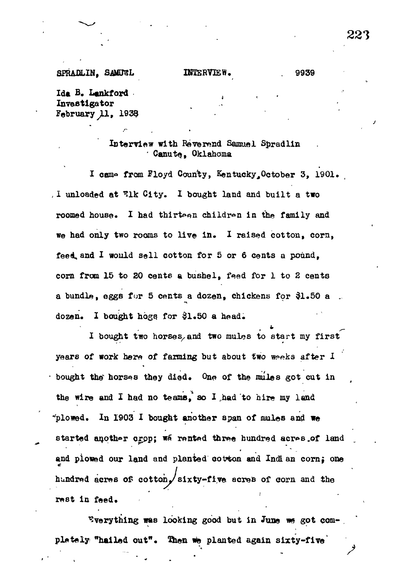### SPRADLIN, SAMUEL **INTERVIEW.** 9939

**Ida B. Lankford t Investigator 1939**

## Interview with Reverend Samuel Spradlin \* Canute., Oklahoma

I came from Floyd County, Kentucky October 3, 1901. , 1 unloaded at ^lk City. I bought land and built a two roomed house. I had thirteen children in the family and we had only two rooms to live In. I raised cotton, corn, feed, and I would sell cotton for 5 or 6 cents a pound, corn from 15 to 20 cents a bushel, feed for 1 to 2 cents a bundle, eggs for 5 cents a dozen, chickens for  $31.50$  a dozen. I bought hogs for \$1.50 a head.

I bought two horses, and two mules to start my first years of work here of farming but about two wpeks after I  $\cdot$  bought the horses they died. One of the mules got cut in the wire and I had no teams, so I had to hire my land "plowed. In 1903 I bought another span of mules and we started another crop; we rented three hundred acres.of land and plowed our land and planted cotton and Indian corn; one hundred acres of cotton, sixty-five acres of corn and the rest in feed.

Everything was looking good but in June *w* got com- . pletely "hailed out". Then we planted again sixty-five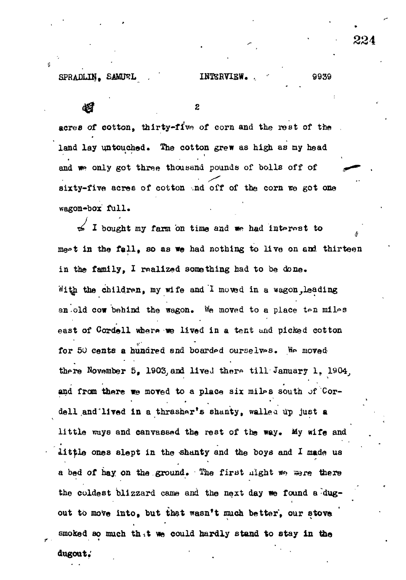### SPRADLIN, SAMUEL . (19939) INTERVIEW.

d.

224

 $\overline{2}$ 

acres of cotton, thirty-fi've of corn and the rest of the land lay untouched. The cotton grew as high as my head and we only got three thousand pounds of bolls off of sixty-five acres of cotton .nd off of the corn *no* got one wagon-box full.

 $t$  I bought my farm on time and we had interest to meet in the fall, so as we had nothing to live on and thirteen in the family, I realized something had to be done. With the children, my wife and I moved in a wagon, leading an.old cow behind the wagon. We moved to a place ten miles east of Cordell where we lived in a tent und picked cotton for 50 cents a hundred and boarded ourselves. We moved there November 5, 1903, and lived there till January 1, 1904, and from there we moved to a place six miles south of  $Cor$ dell and lived in a thrasher's shanty, walled up just a little ways and canvassed the rest of the way. My wife and little ones slept in the shanty and the boys and I made us a bed of hay on the ground. The first might » were there the coldest blizzard came and the next day we found a dugout to move into, but that wasn't much better, our stove smoked so much that we could hardly stand to stay in the

dugout.